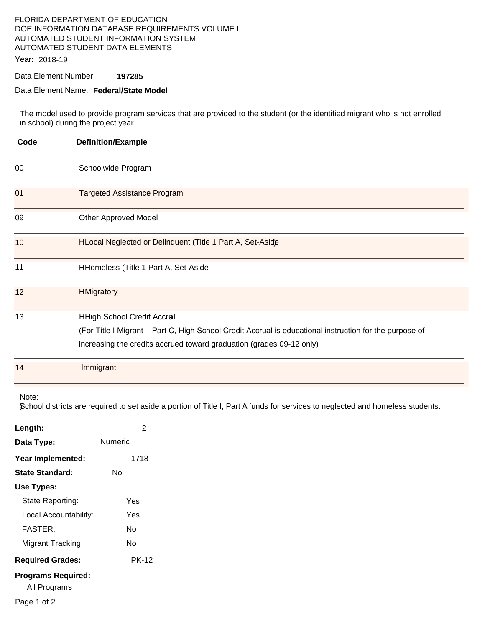## FLORIDA DEPARTMENT OF EDUCATION DOE INFORMATION DATABASE REQUIREMENTS VOLUME I: AUTOMATED STUDENT INFORMATION SYSTEM AUTOMATED STUDENT DATA ELEMENTS

Year: 2018-19

#### Data Element Number: **197285**

#### Data Element Name: **Federal/State Model**

The model used to provide program services that are provided to the student (or the identified migrant who is not enrolled in school) during the project year.

| Code            | <b>Definition/Example</b>                                                                                                                                                                                            |
|-----------------|----------------------------------------------------------------------------------------------------------------------------------------------------------------------------------------------------------------------|
| 00              | Schoolwide Program                                                                                                                                                                                                   |
| 01              | <b>Targeted Assistance Program</b>                                                                                                                                                                                   |
| 09              | <b>Other Approved Model</b>                                                                                                                                                                                          |
| 10 <sup>°</sup> | HLocal Neglected or Delinquent (Title 1 Part A, Set-Aside                                                                                                                                                            |
| 11              | HHomeless (Title 1 Part A, Set-Aside                                                                                                                                                                                 |
| 12              | <b>HMigratory</b>                                                                                                                                                                                                    |
| 13              | <b>HHigh School Credit Accral</b><br>(For Title I Migrant - Part C, High School Credit Accrual is educational instruction for the purpose of<br>increasing the credits accrued toward graduation (grades 09-12 only) |
| 14              | Immigrant                                                                                                                                                                                                            |

Note:

)School districts are required to set aside a portion of Title I, Part A funds for services to neglected and homeless students.

| Length:                                   | 2       |  |
|-------------------------------------------|---------|--|
| Data Type:                                | Numeric |  |
| Year Implemented:                         | 1718    |  |
| State Standard:                           | N٥      |  |
| Use Types:                                |         |  |
| State Reporting:                          | Yes     |  |
| Local Accountability:                     | Yes     |  |
| <b>FASTER:</b>                            | N٥      |  |
| Migrant Tracking:                         | N٥      |  |
| <b>Required Grades:</b>                   | PK-12   |  |
| <b>Programs Required:</b><br>All Programs |         |  |
| Page 1 of 2                               |         |  |